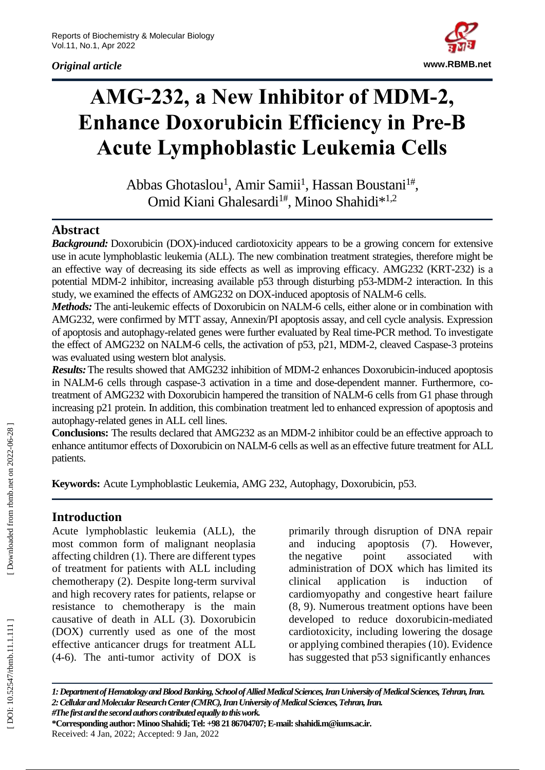*Original article*



# **AMG -232, a New Inhibitor of MDM -2, Enhance Doxorubicin Efficiency in Pre -B Acute Lymphoblastic Leukemia Cells**

Abbas Ghotaslou<sup>1</sup>, Amir Samii<sup>1</sup>, Hassan Boustani<sup>1#</sup>, Omid Kiani Ghalesardi<sup>1#</sup>, Minoo Shahidi<sup>\*1,2</sup>

## **Abstract**

*Background:* Doxorubicin (DOX) -induced cardiotoxicity appears to be a growing concern for extensive use in acute lymphoblastic leukemia (ALL). The new combination treatment strategies, therefore might be an effective way of decreasing its side effects as well as improving efficacy. AMG232 (KRT -232) is a potential MDM -2 inhibitor, increasing available p53 through disturbing p53 -MDM -2 interaction. In this study, we examined the effects of AMG232 on DOX-induced apoptosis of NALM-6 cells.

Methods: The anti-leukemic effects of Doxorubicin on NALM-6 cells, either alone or in combination with AMG232, were confirmed by MTT assay, Annexin/PI apoptosis assay, and cell cycle analysis. Expression of apoptosis and autophagy -related genes were further evaluated by Real time -PCR method. To investigate the effect of AMG232 on NALM-6 cells, the activation of p53, p21, MDM-2, cleaved Caspase-3 proteins was evaluated using western blot analysis.

Results: The results showed that AMG232 inhibition of MDM-2 enhances Doxorubicin-induced apoptosis in NALM-6 cells through caspase-3 activation in a time and dose-dependent manner. Furthermore, cotreatment of AMG232 with Doxorubicin hampered the transition of NALM -6 cells from G1 phase through increasing p21 protein. In addition, this combination treatment led to enhanced expression of apoptosis and autophagy -related genes in ALL cell lines.

**Conclusions:** The results declared that AMG232 as an MDM -2 inhibitor could be an effective approach to enhance antitumor effects of Doxorubicin on NALM -6 cells as well as an effective future treatment for ALL patients.

**Keywords :** Acute Lymphoblastic Leukemia, AMG 232, Autophagy, Doxorubicin, p53.

## **Introduction**

Acute lymphoblastic leukemia (ALL), the most common form of malignant neoplasia affecting children (1). There are different types of treatment for patients with ALL including chemotherapy (2). Despite long -term survival and high recovery rates for patients, relapse or resistance to chemotherapy is the main causative of death in ALL (3). Doxorubicin (DOX) currently used as one of the most effective anticancer drugs for treatment ALL (4 -6) . The anti -tumor activity of DOX is primarily through disruption of DNA repair and inducing apoptosis (7). However, the negative point associated with administration of DOX which has limited its clinical application is induction of cardiomyopathy and congestive heart failure (8, 9). Numerous treatment options have been developed to reduce doxorubicin -mediated cardiotoxicity, including lowering the dosage or applying combined therapies (10). Evidence has suggested that p53 significantly enhances

*1: Department of Hematology and Blood Banking, School of Allied Medical Sciences, Iran University of Medical Sciences, Tehran, Iran. 2: Cellular and Molecular Research Center (CMRC), Iran University of Medical Sciences, Tehran, Iran. #The first and the second authors contributed equally to this work.*

**\*Corresponding author: Minoo Shahidi; Tel: +98 21 86704707; E -mail: shahidi.m@iums.ac.ir.** Received: 4 Jan , 202 2; Accepted: 9 Jan, 202 2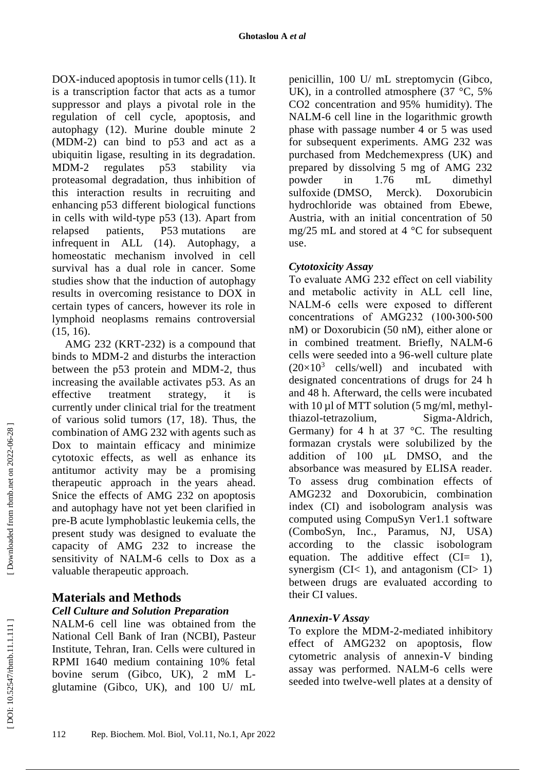DOX -induced apoptosis in tumor cells (11). It is a transcription factor that acts as a tumor suppressor and plays a pivotal role in the regulation of cell cycle, apoptosis, and autophagy (12). Murine double minute 2 (MDM -2) can bind to p53 and act as a ubiquitin ligase, resulting in its degradation. MDM regulates p53 stability via proteasomal degradation, thus inhibition of this interaction results in recruiting and enhancing p53 different biological functions in cells with wild -type p53 (13). Apart from relapsed patients, P53 mutations are infrequent in ALL (14). Autophagy, a homeostatic mechanism involved in cell survival has a dual role in cancer. Some studies show that the induction of autophagy results in overcoming resistance to DOX in certain types of cancers, however its role in lymphoid neoplasms remains controversial (15, 16) .

AMG 232 (KRT -232) is a compound that binds to MDM -2 and disturbs the interaction between the p53 protein and MDM -2, thus increasing the available activates p53. As an effective treatment strategy, it is currently under clinical trial for the treatment of various solid tumors (17, 18). Thus, the combination of AMG 232 with agents such as Dox to maintain efficacy and minimize cytotoxic effects, as well as enhance its antitumor activity may be a promising therapeutic approach in the years ahead. Snice the effects of AMG 232 on apoptosis and autophagy have not yet been clarified in pre -B acute lymphoblastic leukemia cells, the present study was designed to evaluate the capacity of AMG 232 to increase the sensitivity of NALM -6 cells to Dox as a valuable therapeutic approach.

# **Materials and Methods**

## *Cell Culture and Solution Preparation*

NALM -6 cell line was obtained from the National Cell Bank of Iran (NCBI), Pasteur Institute, Tehran, Iran. Cells were cultured in RPMI 1640 medium containing 10% fetal bovine serum (Gibco, UK), 2 mM L glutamine (Gibco, UK), and 100 U/ mL

penicillin, 100 U/ mL streptomycin (Gibco, UK), in a controlled atmosphere  $(37 \text{ °C}, 5\%)$ CO2 concentration and 95% humidity). The NALM -6 cell line in the logarithmic growth phase with passage number 4 or 5 was used for subsequent experiments. AMG 232 was purchased from Medchemexpress (UK) and prepared by dissolving 5 mg of AMG 232 powder in 1.76 mL dimethyl sulfoxide (DMSO, Merck). Doxorubicin hydrochloride was obtained from Ebewe, Austria, with an initial concentration of 50 mg/25 mL and stored at 4 °C for subsequent use.

#### *Cytotoxicity Assay*

To evaluate AMG 232 effect on cell viability and metabolic activity in ALL cell line, NALM - 6 cells were exposed to different concentrations of AMG232 (100،300،500 nM) or Doxorubicin (50 nM), either alone or in combined treatment. Briefly, NALM -6 cells were seeded into a 96 -well culture plate  $(20\times10^3$  cells/well) and incubated with designated concentrations of drugs for 24 h and 48 h. Afterward, the cells were incubated with  $10 \mu l$  of MTT solution (5 mg/ml, methylthiazol -tetrazolium, Sigma Sigma-Aldrich, Germany) for 4 h at 37  $^{\circ}$ C. The resulting formazan crystals were solubilized by the addition of 100 μL DMSO, and the absorbance was measured by ELISA reader. To assess drug combination effects of AMG232 and Doxorubicin, combination index (CI) and isobologram analysis was computed using CompuSyn Ver1.1 software (ComboSyn, Inc., Paramus, NJ, USA) according to the classic isobologram equation. The additive effect  $(CI= 1)$ , synergism (CI< 1), and antagonism (CI $> 1$ ) between drugs are evaluated according to their CI values.

#### *Annexin -V Assay*

To explore the MDM - 2 -mediated inhibitory effect of AMG232 on apoptosis, flow cytometric analysis of annexin -V binding assay was performed. NALM -6 cells were seeded into twelve -well plates at a density of

Downloaded from rbmb.net on 2022-06-28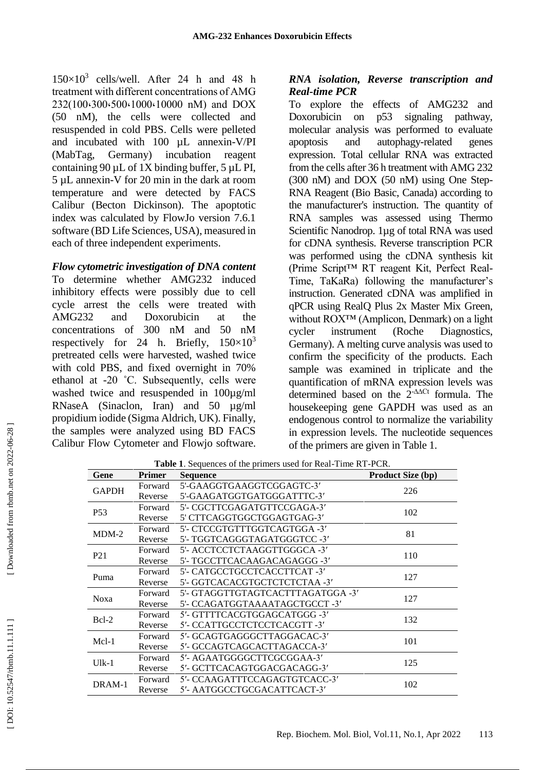$150\times10^3$  cells/well. After 24 h and 48 h treatment with different concentrations of AMG 232 (100،300،500،1000،10000 nM) and DOX (50 nM), the cells were collected and resuspended in cold PBS. Cells were pelleted and incubated with 100 µL annexin -V/PI (MabTag, Germany) incubation reagent containing  $90 \mu L$  of 1X binding buffer, 5  $\mu L$  PI, 5 µL annexin -V for 20 min in the dark at room temperature and were detected by FACS Calibur (Becton Dickinson). The apoptotic index was calculated by FlowJo version 7.6.1 software (BD Life Sciences, USA), measured in each of three independent experiments.

#### *Flow cytometric investigation of DNA content*

To determine whether AMG232 induced inhibitory effects were possibly due to cell cycle arrest the cells were treated with AMG232 and Doxorubicin at the concentrations of 300 nM and 50 nM respectively for 24 h. Briefly,  $150 \times 10^3$ pretreated cells were harvested, washed twice with cold PBS, and fixed overnight in 70% ethanol at -20 ˚C. Subsequently, cells were washed twice and resuspended in  $100\mu g/ml$ RNaseA (Sinaclon, Iran) and 50 µg/ml propidium iodide (Sigma Aldrich, UK). Finally, the samples were analyzed using BD FACS Calibur Flow Cytometer and Flowjo software.

#### *RNA isolation, Reverse transcription and Real-time PCR*

To explore the effects of AMG232 and Doxorubicin on p53 signaling pathway, molecular analysis was performed to evaluate apoptosis and autophagy -related genes expression. Total cellular RNA was extracted from the cells after 36 h treatment with AMG 232 (300 nM) and DOX (50 nM) using One Step - RNA Reagent (Bio Basic, Canada) according to the manufacturer's instruction. The quantity of RNA samples was assessed using Thermo Scientific Nanodrop. 1µg of total RNA was used for cDNA synthesis. Reverse transcription PCR was performed using the cDNA synthesis kit (Prime Script™ RT reagent Kit, Perfect Real - Time, TaKaRa) following the manufacturer's instruction. Generated cDNA was amplified in qPCR using RealQ Plus 2x Master Mix Green, without ROX™ (Amplicon, Denmark) on a light cycler instrument (Roche Diagnostics, Germany). A melting curve analysis was used to confirm the specificity of the products. Each sample was examined in triplicate and the quantification of mRNA expression levels was determined based on the 2 -∆∆Ct formula. The housekeeping gene GAPDH was used as an endogenous control to normalize the variability in expression levels. The nucleotide sequences of the primers are given in Table 1.

| Gene            | <b>Primer</b> | Table 1. Sequences of the primers used for Real-Time RT-PCR.<br><b>Sequence</b> | <b>Product Size (bp)</b> |
|-----------------|---------------|---------------------------------------------------------------------------------|--------------------------|
| <b>GAPDH</b>    | Forward       | 5'-GAAGGTGAAGGTCGGAGTC-3'                                                       | 226                      |
|                 | Reverse       | 5'-GAAGATGGTGATGGGATTTC-3'                                                      |                          |
| P <sub>53</sub> | Forward       | 5'- CGCTTCGAGATGTTCCGAGA-3'                                                     | 102                      |
|                 | Reverse       | 5' CTTCAGGTGGCTGGAGTGAG-3'                                                      |                          |
| $MDM-2$         | Forward       | 5'- CTCCGTGTTTGGTCAGTGGA -3'                                                    | 81                       |
|                 | Reverse       | 5'- TGGTCAGGGTAGATGGGTCC -3'                                                    |                          |
| P <sub>21</sub> | Forward       | 5'- ACCTCCTCTAAGGTTGGGCA -3'                                                    | 110                      |
|                 | Reverse       | 5'- TGCCTTCACAAGACAGAGGG -3'                                                    |                          |
| Puma            | Forward       | 5'- CATGCCTGCCTCACCTTCAT -3'                                                    | 127                      |
|                 | Reverse       | 5'- GGTCACACGTGCTCTCTCTAA -3'                                                   |                          |
| <b>Noxa</b>     | Forward       | 5'- GTAGGTTGTAGTCACTTTAGATGGA -3'                                               | 127                      |
|                 | Reverse       | 5'- CCAGATGGTAAAATAGCTGCCT -3'                                                  |                          |
| $Bcl-2$         | Forward       | 5'- GTTTTCACGTGGAGCATGGG -3'                                                    | 132                      |
|                 | Reverse       | 5'- CCATTGCCTCTCCTCACGTT -3'                                                    |                          |
| $Mcl-1$         | Forward       | 5'- GCAGTGAGGGCTTAGGACAC-3'                                                     | 101                      |
|                 | Reverse       | 5'- GCCAGTCAGCACTTAGACCA-3'                                                     |                          |
| $Ulk-1$         | Forward       | 5'- AGAATGGGGCTTCGCGGAA-3'                                                      | 125                      |
|                 | Reverse       | 5'- GCTTCACAGTGGACGACAGG-3'                                                     |                          |
| DRAM-1          | Forward       | 5'- CCAAGATTTCCAGAGTGTCACC-3'                                                   | 102                      |
|                 | Reverse       | 5'- AATGGCCTGCGACATTCACT-3'                                                     |                          |

 [\[ DOI: 10.52547/rbmb.11.1.111 \]](http://dx.doi.org/10.52547/rbmb.11.1.111) [\[ Downloaded from rbmb.net on 2022-06-2](https://rbmb.net/article-1-851-en.html)8 ] Downloaded from rbmb.net on 2022-06-28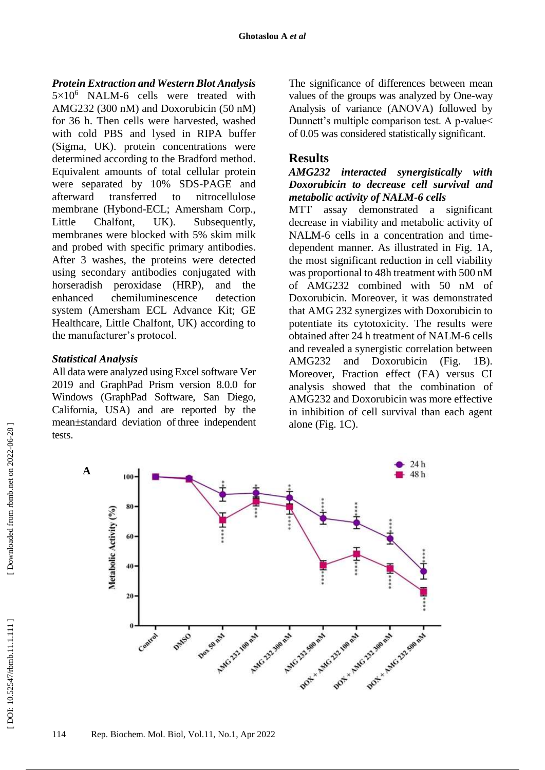#### *Protein Extraction and Western Blot Analysis*

 $5 \times 10^6$  NALM-6 cells were treated with AMG232 (300 nM) and Doxorubicin (50 nM) for 36 h. Then cells were harvested, washed with cold PBS and lysed in RIPA buffer (Sigma, UK). protein concentrations were determined according to the Bradford method. Equivalent amounts of total cellular protein were separated by 10% SDS -PAGE and afterward transferred to nitrocellulose membrane (Hybond -ECL; Amersham Corp., Little Chalfont, UK). Subsequently, membranes were blocked with 5% skim milk and probed with specific primary antibodies. After 3 washes, the proteins were detected using secondary antibodies conjugated with horseradish peroxidase (HRP), and the enhanced chemiluminescence detection system (Amersham ECL Advance Kit; GE Healthcare, Little Chalfont, UK) according to the manufacturer's protocol.

#### *Statistical Analysis*

All data were analyzed using Excel software Ver 2019 and GraphPad Prism version 8.0.0 for Windows (GraphPad Software, San Diego, California, USA) and are reported by the mean±standard deviation of three independent tests.

The significance of differences between mean values of the groups was analyzed by One -way Analysis of variance (ANOVA) followed by Dunnett's multiple comparison test. A p -value< of 0.05 was considered statistically significant.

## **Results**

#### *AMG232 interacted synergistically with Doxorubicin to decrease cell survival and metabolic activity of NALM-6 cells*

MTT assay demonstrated a significant decrease in viability and metabolic activity of NALM -6 cells in a concentration and time dependent manner. As illustrated in Fig. 1A, the most significant reduction in cell viability was proportional to 48h treatment with 500 nM of AMG232 combined with 50 nM of Doxorubicin. Moreover, it was demonstrated that AMG 232 synergizes with Doxorubicin to potentiate its cytotoxicity. The results were obtained after 24 h treatment of NALM -6 cells and revealed a synergistic correlation between AMG232 and Doxorubicin (Fig. 1B). Moreover, Fraction effect (FA) versus CI analysis showed that the combination of AMG232 and Doxorubicin was more effective in inhibition of cell survival than each agent alone (Fig. 1C).

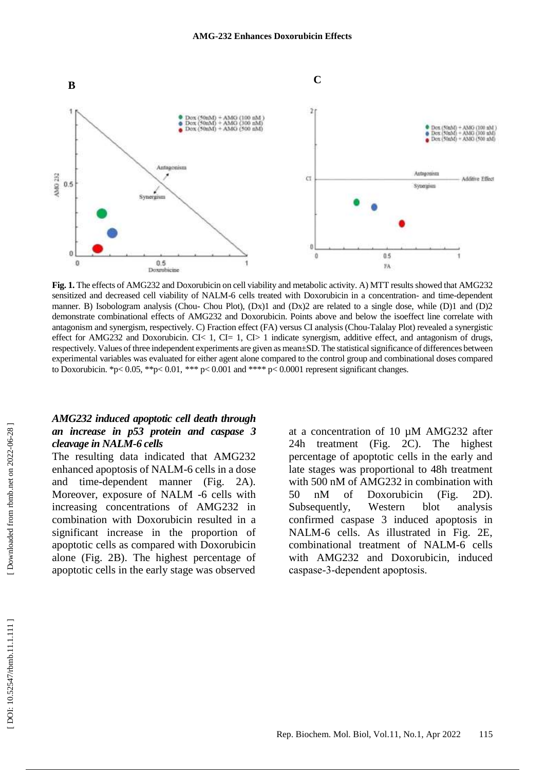

**Fig. 1.** The effects of AMG232 and Doxorubicin on cell viability and metabolic activity. A) MTT results showed that AMG232 sensitized and decreased cell viability of NALM-6 cells treated with Doxorubicin in a concentration- and time-dependent manner. B) Isobologram analysis (Chou-Chou Plot),  $(Dx)1$  and  $(Dx)2$  are related to a single dose, while  $(D)1$  and  $(D)2$ demonstrate combinational effects of AMG232 and Doxorubicin. Points above and below the isoeffect line correlate with antagonism and synergism, respectively. C) Fraction effect (FA) versus CI analysis (Chou -Talalay Plot) revealed a synergistic effect for AMG232 and Doxorubicin. CI< 1, CI= 1, CI> 1 indicate synergism, additive effect, and antagonism of drugs, respectively. Values of three independent experiments are given as mean±SD. The statistical significance of differences between experimental variables was evaluated for either agent alone compared to the control group and combinational doses compared to Doxorubicin. \*p< 0.05, \*\*p< 0.01, \*\*\* p< 0.001 and \*\*\*\* p< 0.0001 represent significant changes.

#### *AMG232 induced apoptotic cell death through an increase in p53 protein and caspase 3 cleavage in NALM-6 cells*

The resulting data indicated that AMG232 enhanced apoptosis of NALM -6 cells in a dose and time -dependent manner (Fig. 2A). Moreover, exposure of NALM -6 cells with increasing concentrations of AMG232 in combination with Doxorubicin resulted in a significant increase in the proportion of apoptotic cells as compared with Doxorubicin alone (Fig. 2B). The highest percentage of apoptotic cells in the early stage was observed

at a concentration of 10 µM AMG232 after 24h treatment (Fig. 2C). The highest percentage of apoptotic cells in the early and late stages was proportional to 48h treatment with 500 nM of AMG232 in combination with 50 nM of Doxorubicin (Fig. 2D). Subsequently, Western blot analysis confirmed caspase 3 induced apoptosis in NALM -6 cells. As illustrated in Fig. 2E, combinational treatment of NALM -6 cells with AMG232 and Doxorubicin, induced caspase‐3‐dependent apoptosis.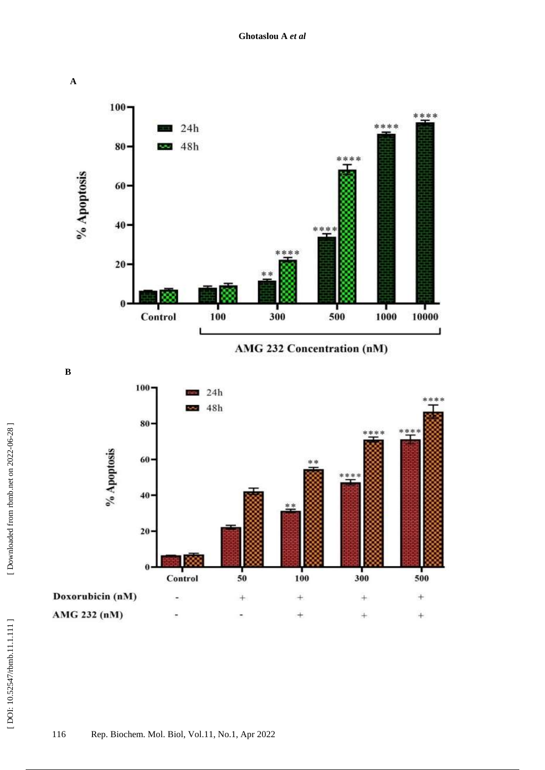

AMG 232 Concentration (nM)

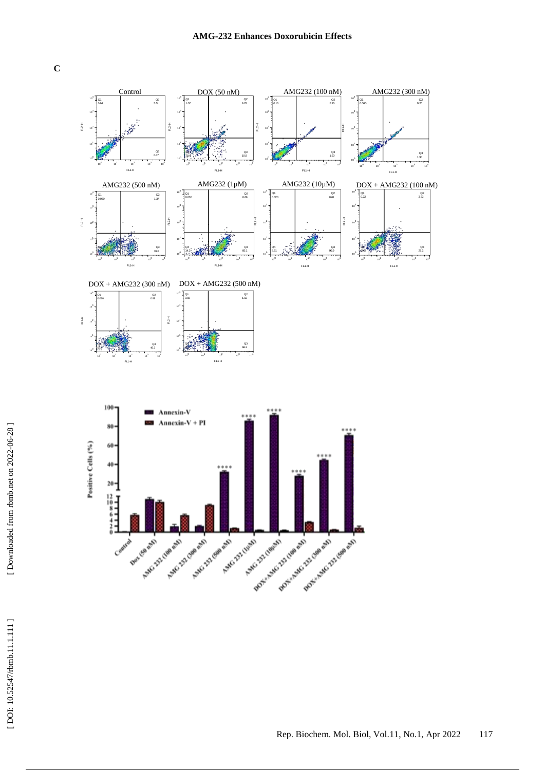**C**

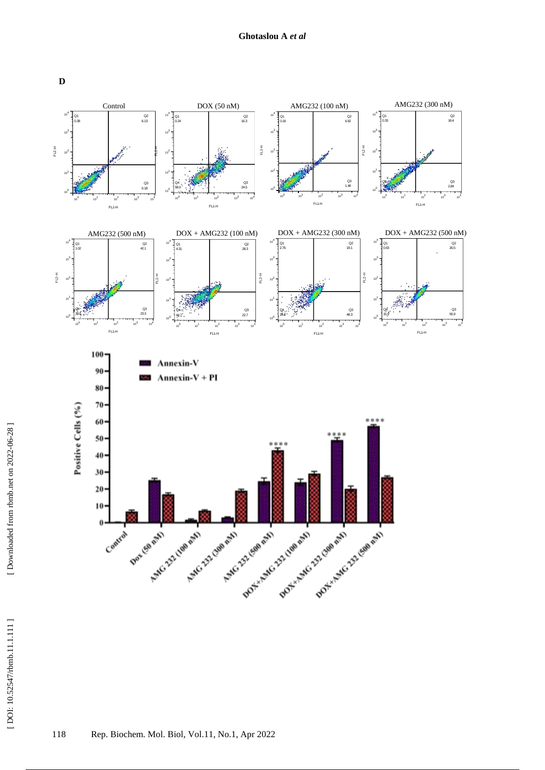

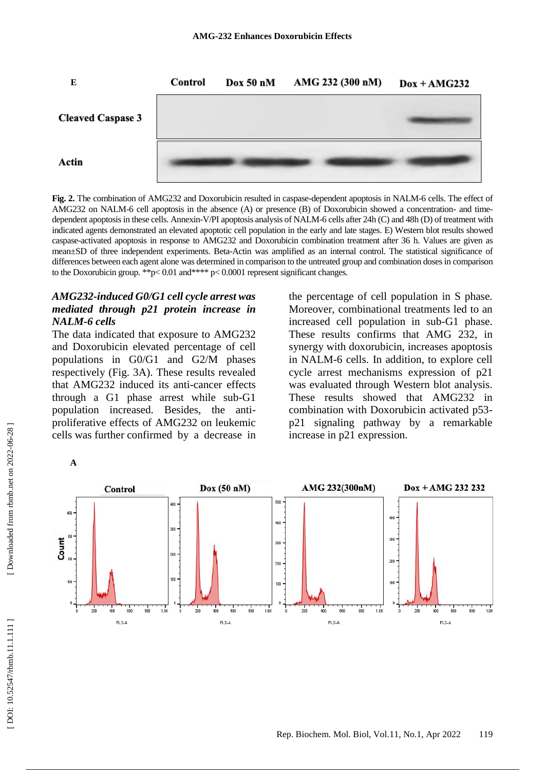

Fig. 2. The combination of AMG232 and Doxorubicin resulted in caspase-dependent apoptosis in NALM-6 cells. The effect of AMG232 on NALM-6 cell apoptosis in the absence (A) or presence (B) of Doxorubicin showed a concentration- and timedependent apoptosis in these cells. Annexin -V/PI apoptosis analysis of NALM -6 cells after 24h (C) and 48h (D) of treatment with indicated agents demonstrated an elevated apoptotic cell population in the early and late stages. E) Western blot results showed caspase -activated apoptosis in response to AMG232 and Doxorubicin combination treatment after 36 h. Values are given as mean±SD of three independent experiments. Beta -Actin was amplified as an internal control. The statistical significance of differences between each agent alone was determined in comparison to the untreated group and combination doses in comparison to the Doxorubicin group. \*\*p< 0.01 and\*\*\*\* p< 0.0001 represent significant changes.

#### *AMG232 -induced G0/G1 cell cycle arrest was mediated through p21 protein increase in NALM-6 cells*

The data indicated that exposure to AMG232 and Doxorubicin elevated percentage of cell populations in G0/G1 and G2/M phases respectively (Fig. 3A). These results revealed that AMG232 induced its anti -cancer effects through a G1 phase arrest while sub -G1 population increased. Besides, the anti proliferative effects of AMG232 on leukemic cells was further confirmed by a decrease in

the percentage of cell population in S phase. Moreover, combinational treatments led to an increased cell population in sub -G1 phase. These results confirms that AMG 232, in synergy with doxorubicin, increases apoptosis in NALM -6 cells. In addition, to explore cell cycle arrest mechanisms expression of p21 was evaluated through Western blot analysis. These results showed that AMG232 in combination with Doxorubicin activated p53 p21 signaling pathway by a remarkable increase in p21 expression.



 $\boldsymbol{\mathsf{A}}$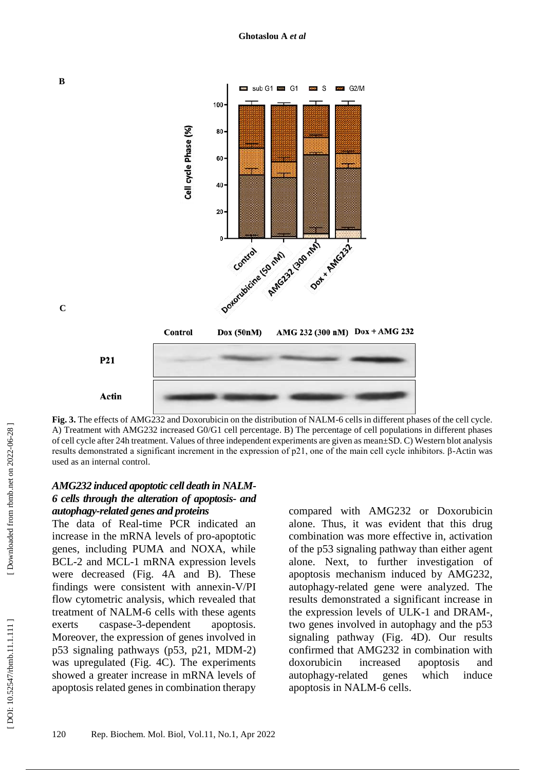

**Fig. 3.** The effects of AMG232 and Doxorubicin on the distribution of NALM -6 cells in different phases of the cell cycle. A) Treatment with AMG232 increased G0/G1 cell percentage. B) The percentage of cell populations in different phases of cell cycle after 24h treatment. Values of three independent experiments are given as mean±SD. C) Western blot analysis results demonstrated a significant increment in the expression of p21, one of the main cell cycle inhibitors. β -Actin was used as an internal control.

#### *AMG232 induced apoptotic cell death in NALM-6 cells through the alteration of apoptosis- and autophagy -related genes and proteins*

The data of Real -time PCR indicated an increase in the mRNA levels of pro -apoptotic genes, including PUMA and NOXA, while BCL -2 and MCL -1 mRNA expression levels were decreased (Fig. 4A and B). These findings were consistent with annexin -V/PI flow cytometric analysis, which revealed that treatment of NALM -6 cells with these agents exerts caspase - 3 -dependent apoptosis. Moreover, the expression of genes involved in p53 signaling pathways (p53, p21, MDM -2) was upregulated (Fig. 4C). The experiments showed a greater increase in mRNA levels of apoptosis related genes in combination therapy

compared with AMG232 or Doxorubicin alone. Thus, it was evident that this drug combination was more effective in, activation of the p53 signaling pathway than either agent alone. Next, to further investigation of apoptosis mechanism induced by AMG232, autophagy -related gene were analyzed. The results demonstrated a significant increase in the expression levels of ULK -1 and DRAM -, two genes involved in autophagy and the p53 signaling pathway (Fig. 4D). Our results confirmed that AMG232 in combination with doxorubicin increased apoptosis and autophagy -related genes which induce apoptosis in NALM -6 cells .

 $\mathbf C$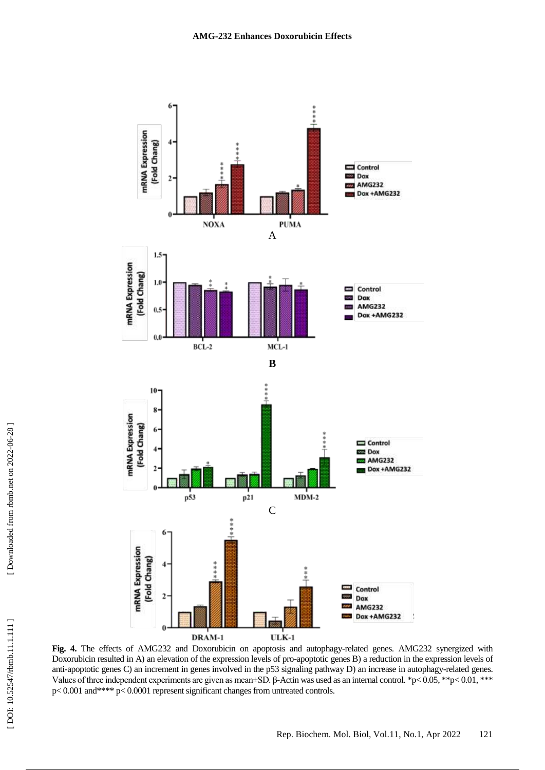

**Fig. 4.** The effects of AMG232 and Doxorubicin on apoptosis and autophagy -related genes. AMG232 synergized with Doxorubicin resulted in A) an elevation of the expression levels of pro -apoptotic genes B) a reduction in the expression levels of anti-apoptotic genes C) an increment in genes involved in the p53 signaling pathway D) an increase in autophagy-related genes. Values of three independent experiments are given as mean $\pm$ SD.  $\beta$ -Actin was used as an internal control. \*p< 0.05, \*\*p< 0.01, \*\*\* p< 0.001 and\*\*\*\* p< 0.0001 represent significant changes from untreated controls.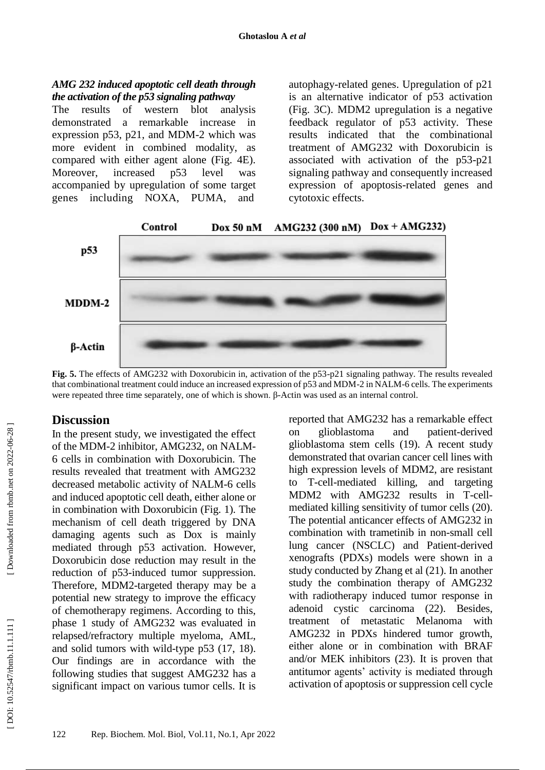#### *AMG 232 induced apoptotic cell death through the activation of the p53 signaling pathway*

The results of western blot analysis demonstrated a remarkable increase in expression p53, p21, and MDM -2 which was more evident in combined modality, as compared with either agent alone (Fig. 4E). Moreover, increased p53 level was accompanied by upregulation of some target genes includin g NOXA, PUMA, and

autophagy -related genes. Upregulation of p21 is an alternative indicator of p53 activation (Fig. 3C). MDM2 upregulation is a negative feedback regulator of p53 activity. These results indicated that the combinational treatment of AMG232 with Doxorubicin is associated with activation of the p53 -p21 signaling pathway and consequently increased expression of apoptosis -related genes and cytotoxic effects.



**Fig. 5.** The effects of AMG232 with Doxorubicin in, activation of the p53-p21 signaling pathway. The results revealed that combinational treatment could induce an increased expression of p53 and MDM-2 in NALM-6 cells. The experiments were repeated three time separately, one of which is shown. β-Actin was used as an internal control.

## **Discussion**

In the present study, we investigated the effect of the MDM -2 inhibitor, AMG232, on NALM - 6 cells in combination with Doxorubicin. The results revealed that treatment with AMG232 decreased metabolic activity of NALM -6 cells and induced apoptotic cell death, either alone or in combination with Doxorubicin (Fig. 1). The mechanism of cell death triggered by DNA damaging agents such as Dox is mainly mediated through p53 activation. However, Doxorubicin dose reduction may result in the reduction of p53 -induced tumor suppression. Therefore, MDM2 -targeted therapy may be a potential new strategy to improve the efficacy of chemotherapy regimens. According to this, phase 1 study of AMG232 was evaluated in relapsed/refractory multiple myeloma, AML, and solid tumors with wild -type p53 (17, 18). Our findings are in accordance with the following studies that suggest AMG232 has a significant impact on various tumor cells. It is

reported that AMG232 has a remarkable effect on glioblastoma and patient-derived glioblastoma stem cells (19). A recent study demonstrated that ovarian cancer cell lines with high expression levels of MDM2, are resistant to T -cell -mediated killing, and targeting MDM2 with AMG232 results in T -cell mediated killing sensitivity of tumor cells (20). The potential anticancer effects of AMG232 in combination with trametinib in non -small cell lung cancer (NSCLC) and Patient -derived xenografts (PDXs) models were shown in a study conducted by Zhang et al (21). In another study the combination therapy of AMG232 with radiotherapy induced tumor response in adenoid cystic carcinoma (22). Besides, treatment of metastatic Melanoma with AMG232 in PDXs hindered tumor growth, either alone or in combination with BRAF and/or MEK inhibitors (23). It is proven that antitumor agents' activity is mediated through activation of apoptosis or suppression cell cycle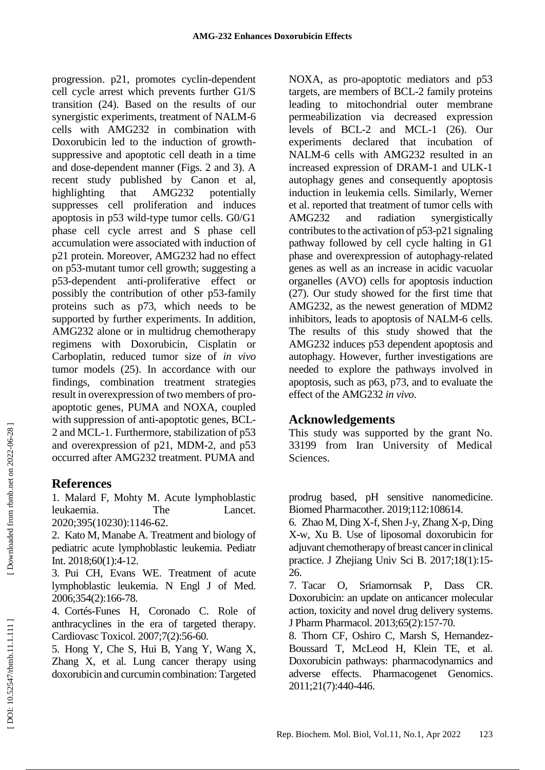progression. p21, promotes cyclin -dependent cell cycle arrest which prevents further G1/S transition (24). Based on the results of our synergistic experiments, treatment of NALM -6 cells with AMG232 in combination with Doxorubicin led to the induction of growth suppressive and apoptotic cell death in a time and dose -dependent manner (Figs. 2 and 3). A recent study published by Canon et al, highlighting that AMG232 potentially suppresses cell proliferation and induces apoptosis in p53 wild -type tumor cells. G0/G1 phase cell cycle arrest and S phase cell accumulation were associated with induction of p21 protein. Moreover, AMG232 had no effect on p53 -mutant tumor cell growth; suggesting a p53 -dependent anti -proliferative effect or possibly the contribution of other p53 -family proteins such as p73, which needs to be supported by further experiments. In addition, AMG232 alone or in multidrug chemotherapy regimens with Doxorubicin, Cisplatin or Carboplatin, reduced tumor size of *in vivo* tumor models (25). In accordance with our findings, combination treatment strategies result in overexpression of two members of pro apoptotic genes, PUMA and NOXA, coupled with suppression of anti-apoptotic genes, BCL-2 and MCL -1. Furthermore, stabilization of p53 and overexpression of p21, MDM -2, and p53 occurred after AMG232 treatment. PUMA and

## **References**

1. Malard F, Mohty M. Acute lymphoblastic leukaemia. The Lancet. 2020;395(10230):1146 -62.

2. Kato M, Manabe A. Treatment and biology of pediatric acute lymphoblastic leukemia. Pediatr Int. 2018;60(1):4 -12.

3. Pui CH, Evans WE. Treatment of acute lymphoblastic leukemia. N Engl J of Med. 2006;354(2):166 -78.

4. Cortés -Funes H, Coronado C. Role of anthracyclines in the era of targeted therapy. Cardiovasc Toxicol. 2007;7(2):56 -60.

5. Hong Y, Che S, Hui B, Yang Y, Wang X, Zhang X, et al. Lung cancer therapy using doxorubicin and curcumin combination: Targeted NOXA, as pro -apoptotic mediators and p53 targets, are members of BCL -2 family proteins leading to mitochondrial outer membrane permeabilization via decreased expression levels of BCL -2 and MCL - 1 (26). Our experiments declared that incubation of NALM -6 cells with AMG232 resulted in an increased expression of DRAM -1 and ULK -1 autophagy genes and consequently apoptosis induction in leukemia cells. Similarly, Werner et al. reported that treatment of tumor cells with AMG232 and radiation synergistically contributes to the activation of p53 -p21 signaling pathway followed by cell cycle halting in G1 phase and overexpression of autophagy -related genes as well as an increase in acidic vacuolar organelles (AVO) cells for apoptosis induction (27). Our study showed for the first time that AMG232, as the newest generation of MDM2 inhibitors, leads to apoptosis of NALM-6 cells. The results of this study showed that the AMG232 induces p53 dependent apoptosis and autophagy. However, further investigations are needed to explore the pathways involved in apoptosis, such as p63, p73, and to evaluate the effect of the AMG232 *in vivo* .

# **Acknowledgements**

This study was supported by the grant No. 33199 from Iran University of Medical Sciences.

prodrug based, pH sensitive nanomedicine. Biomed Pharmacother. 2019;112:108614.

6. Zhao M, Ding X -f, Shen J -y, Zhang X -p, Ding X -w, Xu B. Use of liposomal doxorubicin for adjuvant chemotherapy of breast cancer in clinical practice. J Zhejiang Univ Sci B. 2017;18(1):15 - 26.

7. Tacar O, Sriamornsak P, Dass CR. Doxorubicin: an update on anticancer molecular action, toxicity and novel drug delivery systems. J Pharm Pharmacol. 2013;65(2):157 -70.

8. Thorn CF, Oshiro C, Marsh S, Hernandez - Boussard T, McLeod H, Klein TE, et al. Doxorubicin pathways: pharmacodynamics and adverse effects. Pharmacogenet Genomics. 2011;21(7):440 -446 .